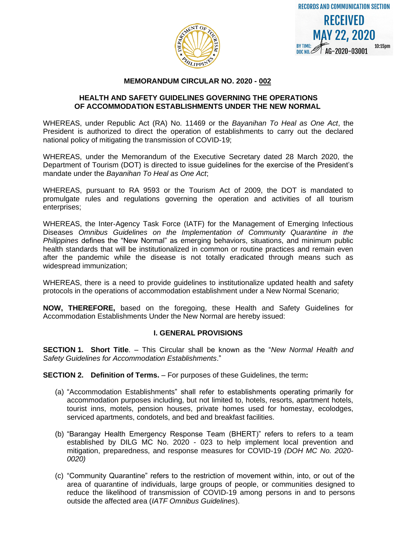



### **MEMORANDUM CIRCULAR NO. 2020 - 002**

#### **HEALTH AND SAFETY GUIDELINES GOVERNING THE OPERATIONS OF ACCOMMODATION ESTABLISHMENTS UNDER THE NEW NORMAL**

WHEREAS, under Republic Act (RA) No. 11469 or the *Bayanihan To Heal as One Act*, the President is authorized to direct the operation of establishments to carry out the declared national policy of mitigating the transmission of COVID-19;

WHEREAS, under the Memorandum of the Executive Secretary dated 28 March 2020, the Department of Tourism (DOT) is directed to issue guidelines for the exercise of the President's mandate under the *Bayanihan To Heal as One Act*;

WHEREAS, pursuant to RA 9593 or the Tourism Act of 2009, the DOT is mandated to promulgate rules and regulations governing the operation and activities of all tourism enterprises;

WHEREAS, the Inter-Agency Task Force (IATF) for the Management of Emerging Infectious Diseases *Omnibus Guidelines on the Implementation of Community Quarantine in the Philippines* defines the "New Normal" as emerging behaviors, situations, and minimum public health standards that will be institutionalized in common or routine practices and remain even after the pandemic while the disease is not totally eradicated through means such as widespread immunization;

WHEREAS, there is a need to provide guidelines to institutionalize updated health and safety protocols in the operations of accommodation establishment under a New Normal Scenario;

**NOW, THEREFORE,** based on the foregoing, these Health and Safety Guidelines for Accommodation Establishments Under the New Normal are hereby issued:

## **I. GENERAL PROVISIONS**

**SECTION 1. Short Title**. – This Circular shall be known as the "*New Normal Health and Safety Guidelines for Accommodation Establishments*."

**SECTION 2. Definition of Terms.** – For purposes of these Guidelines, the term**:** 

- (a) "Accommodation Establishments" shall refer to establishments operating primarily for accommodation purposes including, but not limited to, hotels, resorts, apartment hotels, tourist inns, motels, pension houses, private homes used for homestay, ecolodges, serviced apartments, condotels, and bed and breakfast facilities.
- (b) "Barangay Health Emergency Response Team (BHERT)" refers to refers to a team established by DILG MC No. 2020 - 023 to help implement local prevention and mitigation, preparedness, and response measures for COVID-19 *(DOH MC No. 2020- 0020)*
- (c) "Community Quarantine" refers to the restriction of movement within, into, or out of the area of quarantine of individuals, large groups of people, or communities designed to reduce the likelihood of transmission of COVID-19 among persons in and to persons outside the affected area (*IATF Omnibus Guidelines*).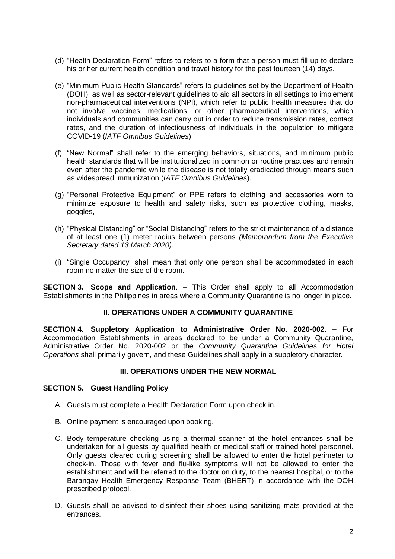- (d) "Health Declaration Form" refers to refers to a form that a person must fill-up to declare his or her current health condition and travel history for the past fourteen (14) days.
- (e) "Minimum Public Health Standards" refers to guidelines set by the Department of Health (DOH), as well as sector-relevant guidelines to aid all sectors in all settings to implement non-pharmaceutical interventions (NPI), which refer to public health measures that do not involve vaccines, medications, or other pharmaceutical interventions, which individuals and communities can carry out in order to reduce transmission rates, contact rates, and the duration of infectiousness of individuals in the population to mitigate COVID-19 (*IATF Omnibus Guidelines*)
- (f) "New Normal" shall refer to the emerging behaviors, situations, and minimum public health standards that will be institutionalized in common or routine practices and remain even after the pandemic while the disease is not totally eradicated through means such as widespread immunization (*IATF Omnibus Guidelines*).
- (g) "Personal Protective Equipment" or PPE refers to clothing and accessories worn to minimize exposure to health and safety risks, such as protective clothing, masks, goggles,
- (h) "Physical Distancing" or "Social Distancing" refers to the strict maintenance of a distance of at least one (1) meter radius between persons *(Memorandum from the Executive Secretary dated 13 March 2020).*
- (i) "Single Occupancy" shall mean that only one person shall be accommodated in each room no matter the size of the room.

**SECTION 3. Scope and Application**. – This Order shall apply to all Accommodation Establishments in the Philippines in areas where a Community Quarantine is no longer in place.

## **II. OPERATIONS UNDER A COMMUNITY QUARANTINE**

**SECTION 4. Suppletory Application to Administrative Order No. 2020-002.** – For Accommodation Establishments in areas declared to be under a Community Quarantine, Administrative Order No. 2020-002 or the *Community Quarantine Guidelines for Hotel Operations* shall primarily govern, and these Guidelines shall apply in a suppletory character.

## **III. OPERATIONS UNDER THE NEW NORMAL**

## **SECTION 5. Guest Handling Policy**

- A. Guests must complete a Health Declaration Form upon check in.
- B. Online payment is encouraged upon booking.
- C. Body temperature checking using a thermal scanner at the hotel entrances shall be undertaken for all guests by qualified health or medical staff or trained hotel personnel. Only guests cleared during screening shall be allowed to enter the hotel perimeter to check-in. Those with fever and flu-like symptoms will not be allowed to enter the establishment and will be referred to the doctor on duty, to the nearest hospital, or to the Barangay Health Emergency Response Team (BHERT) in accordance with the DOH prescribed protocol.
- D. Guests shall be advised to disinfect their shoes using sanitizing mats provided at the entrances.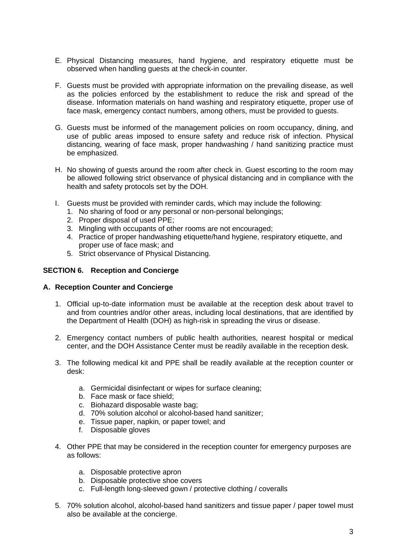- E. Physical Distancing measures, hand hygiene, and respiratory etiquette must be observed when handling guests at the check-in counter.
- F. Guests must be provided with appropriate information on the prevailing disease, as well as the policies enforced by the establishment to reduce the risk and spread of the disease. Information materials on hand washing and respiratory etiquette, proper use of face mask, emergency contact numbers, among others, must be provided to guests.
- G. Guests must be informed of the management policies on room occupancy, dining, and use of public areas imposed to ensure safety and reduce risk of infection. Physical distancing, wearing of face mask, proper handwashing / hand sanitizing practice must be emphasized.
- H. No showing of guests around the room after check in. Guest escorting to the room may be allowed following strict observance of physical distancing and in compliance with the health and safety protocols set by the DOH.
- I. Guests must be provided with reminder cards, which may include the following:
	- 1. No sharing of food or any personal or non-personal belongings;
	- 2. Proper disposal of used PPE;
	- 3. Mingling with occupants of other rooms are not encouraged;
	- 4. Practice of proper handwashing etiquette/hand hygiene, respiratory etiquette, and proper use of face mask; and
	- 5. Strict observance of Physical Distancing.

#### **SECTION 6. Reception and Concierge**

#### **A. Reception Counter and Concierge**

- 1. Official up-to-date information must be available at the reception desk about travel to and from countries and/or other areas, including local destinations, that are identified by the Department of Health (DOH) as high-risk in spreading the virus or disease.
- 2. Emergency contact numbers of public health authorities, nearest hospital or medical center, and the DOH Assistance Center must be readily available in the reception desk.
- 3. The following medical kit and PPE shall be readily available at the reception counter or desk:
	- a. Germicidal disinfectant or wipes for surface cleaning;
	- b. Face mask or face shield;
	- c. Biohazard disposable waste bag;
	- d. 70% solution alcohol or alcohol-based hand sanitizer;
	- e. Tissue paper, napkin, or paper towel; and
	- f. Disposable gloves
- 4. Other PPE that may be considered in the reception counter for emergency purposes are as follows:
	- a. Disposable protective apron
	- b. Disposable protective shoe covers
	- c. Full-length long-sleeved gown / protective clothing / coveralls
- 5. 70% solution alcohol, alcohol-based hand sanitizers and tissue paper / paper towel must also be available at the concierge.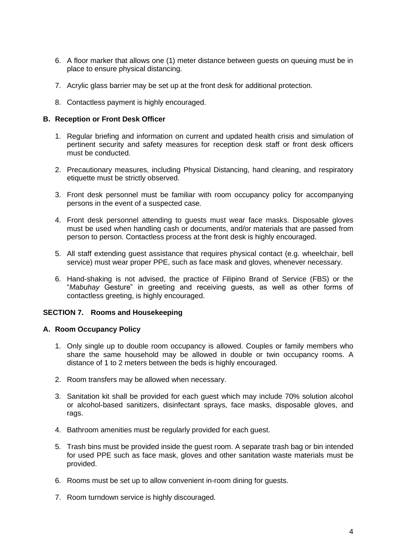- 6. A floor marker that allows one (1) meter distance between guests on queuing must be in place to ensure physical distancing.
- 7. Acrylic glass barrier may be set up at the front desk for additional protection.
- 8. Contactless payment is highly encouraged.

### **B. Reception or Front Desk Officer**

- 1. Regular briefing and information on current and updated health crisis and simulation of pertinent security and safety measures for reception desk staff or front desk officers must be conducted.
- 2. Precautionary measures, including Physical Distancing, hand cleaning, and respiratory etiquette must be strictly observed.
- 3. Front desk personnel must be familiar with room occupancy policy for accompanying persons in the event of a suspected case*.*
- 4. Front desk personnel attending to guests must wear face masks. Disposable gloves must be used when handling cash or documents, and/or materials that are passed from person to person. Contactless process at the front desk is highly encouraged.
- 5. All staff extending guest assistance that requires physical contact (e.g. wheelchair, bell service) must wear proper PPE, such as face mask and gloves, whenever necessary.
- 6. Hand-shaking is not advised, the practice of Filipino Brand of Service (FBS) or the "*Mabuhay* Gesture" in greeting and receiving guests, as well as other forms of contactless greeting, is highly encouraged.

## **SECTION 7. Rooms and Housekeeping**

#### **A. Room Occupancy Policy**

- 1. Only single up to double room occupancy is allowed. Couples or family members who share the same household may be allowed in double or twin occupancy rooms. A distance of 1 to 2 meters between the beds is highly encouraged.
- 2. Room transfers may be allowed when necessary.
- 3. Sanitation kit shall be provided for each guest which may include 70% solution alcohol or alcohol-based sanitizers, disinfectant sprays, face masks, disposable gloves, and rags.
- 4. Bathroom amenities must be regularly provided for each guest.
- 5. Trash bins must be provided inside the guest room. A separate trash bag or bin intended for used PPE such as face mask, gloves and other sanitation waste materials must be provided.
- 6. Rooms must be set up to allow convenient in-room dining for guests.
- 7. Room turndown service is highly discouraged.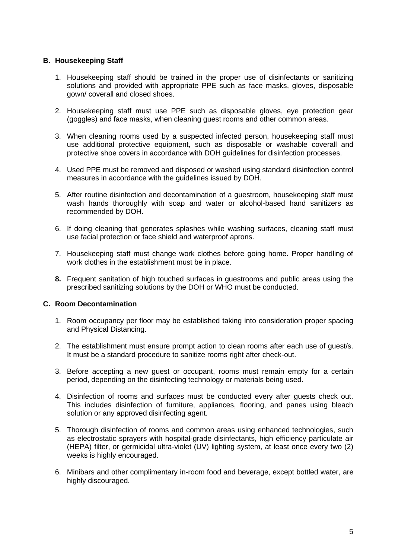# **B. Housekeeping Staff**

- 1. Housekeeping staff should be trained in the proper use of disinfectants or sanitizing solutions and provided with appropriate PPE such as face masks, gloves, disposable gown/ coverall and closed shoes.
- 2. Housekeeping staff must use PPE such as disposable gloves, eye protection gear (goggles) and face masks, when cleaning guest rooms and other common areas.
- 3. When cleaning rooms used by a suspected infected person, housekeeping staff must use additional protective equipment, such as disposable or washable coverall and protective shoe covers in accordance with DOH guidelines for disinfection processes.
- 4. Used PPE must be removed and disposed or washed using standard disinfection control measures in accordance with the guidelines issued by DOH.
- 5. After routine disinfection and decontamination of a guestroom, housekeeping staff must wash hands thoroughly with soap and water or alcohol-based hand sanitizers as recommended by DOH.
- 6. If doing cleaning that generates splashes while washing surfaces, cleaning staff must use facial protection or face shield and waterproof aprons.
- 7. Housekeeping staff must change work clothes before going home. Proper handling of work clothes in the establishment must be in place.
- **8.** Frequent sanitation of high touched surfaces in guestrooms and public areas using the prescribed sanitizing solutions by the DOH or WHO must be conducted.

## **C. Room Decontamination**

- 1. Room occupancy per floor may be established taking into consideration proper spacing and Physical Distancing.
- 2. The establishment must ensure prompt action to clean rooms after each use of guest/s. It must be a standard procedure to sanitize rooms right after check-out.
- 3. Before accepting a new guest or occupant, rooms must remain empty for a certain period, depending on the disinfecting technology or materials being used.
- 4. Disinfection of rooms and surfaces must be conducted every after guests check out. This includes disinfection of furniture, appliances, flooring, and panes using bleach solution or any approved disinfecting agent.
- 5. Thorough disinfection of rooms and common areas using enhanced technologies, such as electrostatic sprayers with hospital-grade disinfectants, high efficiency particulate air (HEPA) filter, or germicidal ultra-violet (UV) lighting system, at least once every two (2) weeks is highly encouraged.
- 6. Minibars and other complimentary in-room food and beverage, except bottled water, are highly discouraged.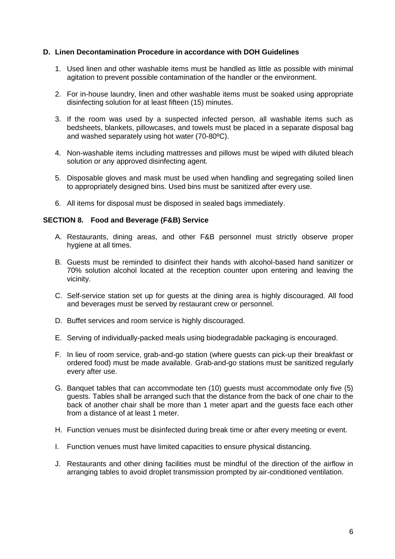### **D. Linen Decontamination Procedure in accordance with DOH Guidelines**

- 1. Used linen and other washable items must be handled as little as possible with minimal agitation to prevent possible contamination of the handler or the environment.
- 2. For in-house laundry, linen and other washable items must be soaked using appropriate disinfecting solution for at least fifteen (15) minutes.
- 3. If the room was used by a suspected infected person, all washable items such as bedsheets, blankets, pillowcases, and towels must be placed in a separate disposal bag and washed separately using hot water (70-80ºC).
- 4. Non-washable items including mattresses and pillows must be wiped with diluted bleach solution or any approved disinfecting agent.
- 5. Disposable gloves and mask must be used when handling and segregating soiled linen to appropriately designed bins. Used bins must be sanitized after every use.
- 6. All items for disposal must be disposed in sealed bags immediately.

## **SECTION 8. Food and Beverage (F&B) Service**

- A. Restaurants, dining areas, and other F&B personnel must strictly observe proper hygiene at all times.
- B. Guests must be reminded to disinfect their hands with alcohol-based hand sanitizer or 70% solution alcohol located at the reception counter upon entering and leaving the vicinity.
- C. Self-service station set up for guests at the dining area is highly discouraged. All food and beverages must be served by restaurant crew or personnel.
- D. Buffet services and room service is highly discouraged.
- E. Serving of individually-packed meals using biodegradable packaging is encouraged.
- F. In lieu of room service, grab-and-go station (where guests can pick-up their breakfast or ordered food) must be made available. Grab-and-go stations must be sanitized regularly every after use.
- G. Banquet tables that can accommodate ten (10) guests must accommodate only five (5) guests. Tables shall be arranged such that the distance from the back of one chair to the back of another chair shall be more than 1 meter apart and the guests face each other from a distance of at least 1 meter.
- H. Function venues must be disinfected during break time or after every meeting or event.
- I. Function venues must have limited capacities to ensure physical distancing.
- J. Restaurants and other dining facilities must be mindful of the direction of the airflow in arranging tables to avoid droplet transmission prompted by air-conditioned ventilation.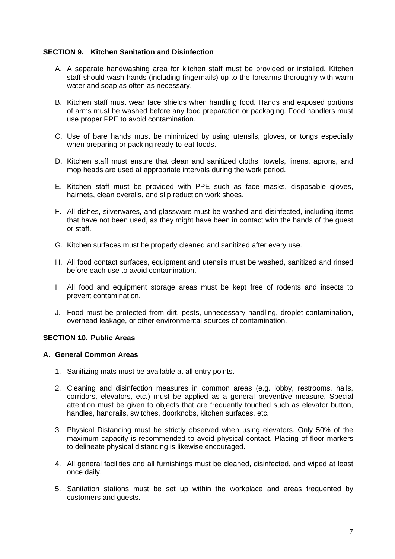# **SECTION 9. Kitchen Sanitation and Disinfection**

- A. A separate handwashing area for kitchen staff must be provided or installed. Kitchen staff should wash hands (including fingernails) up to the forearms thoroughly with warm water and soap as often as necessary.
- B. Kitchen staff must wear face shields when handling food. Hands and exposed portions of arms must be washed before any food preparation or packaging. Food handlers must use proper PPE to avoid contamination.
- C. Use of bare hands must be minimized by using utensils, gloves, or tongs especially when preparing or packing ready-to-eat foods.
- D. Kitchen staff must ensure that clean and sanitized cloths, towels, linens, aprons, and mop heads are used at appropriate intervals during the work period.
- E. Kitchen staff must be provided with PPE such as face masks, disposable gloves, hairnets, clean overalls, and slip reduction work shoes.
- F. All dishes, silverwares, and glassware must be washed and disinfected, including items that have not been used, as they might have been in contact with the hands of the guest or staff.
- G. Kitchen surfaces must be properly cleaned and sanitized after every use.
- H. All food contact surfaces, equipment and utensils must be washed, sanitized and rinsed before each use to avoid contamination.
- I. All food and equipment storage areas must be kept free of rodents and insects to prevent contamination.
- J. Food must be protected from dirt, pests, unnecessary handling, droplet contamination, overhead leakage, or other environmental sources of contamination.

# **SECTION 10. Public Areas**

#### **A. General Common Areas**

- 1. Sanitizing mats must be available at all entry points.
- 2. Cleaning and disinfection measures in common areas (e.g. lobby, restrooms, halls, corridors, elevators, etc.) must be applied as a general preventive measure. Special attention must be given to objects that are frequently touched such as elevator button, handles, handrails, switches, doorknobs, kitchen surfaces, etc.
- 3. Physical Distancing must be strictly observed when using elevators. Only 50% of the maximum capacity is recommended to avoid physical contact. Placing of floor markers to delineate physical distancing is likewise encouraged.
- 4. All general facilities and all furnishings must be cleaned, disinfected, and wiped at least once daily.
- 5. Sanitation stations must be set up within the workplace and areas frequented by customers and guests.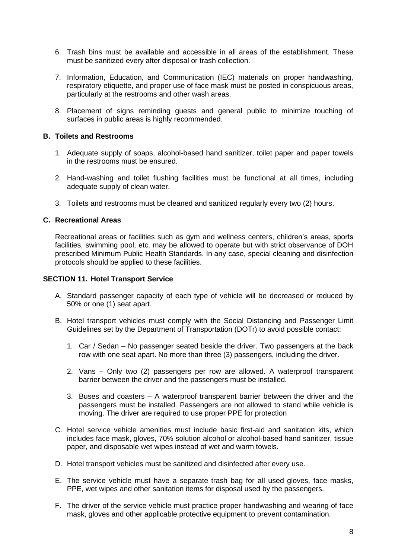- 6. Trash bins must be available and accessible in all areas of the establishment. These must be sanitized every after disposal or trash collection.
- 7. Information, Education, and Communication (IEC) materials on proper handwashing, respiratory etiquette, and proper use of face mask must be posted in conspicuous areas, particularly at the restrooms and other wash areas.
- 8. Placement of signs reminding guests and general public to minimize touching of surfaces in public areas is highly recommended.

### **B. Toilets and Restrooms**

- 1. Adequate supply of soaps, alcohol-based hand sanitizer, toilet paper and paper towels in the restrooms must be ensured.
- 2. Hand-washing and toilet flushing facilities must be functional at all times, including adequate supply of clean water.
- 3. Toilets and restrooms must be cleaned and sanitized regularly every two (2) hours.

# **C. Recreational Areas**

Recreational areas or facilities such as gym and wellness centers, children's areas, sports facilities, swimming pool, etc. may be allowed to operate but with strict observance of DOH prescribed Minimum Public Health Standards. In any case, special cleaning and disinfection protocols should be applied to these facilities.

#### **SECTION 11. Hotel Transport Service**

- A. Standard passenger capacity of each type of vehicle will be decreased or reduced by 50% or one (1) seat apart.
- B. Hotel transport vehicles must comply with the Social Distancing and Passenger Limit Guidelines set by the Department of Transportation (DOTr) to avoid possible contact:
	- 1. Car / Sedan No passenger seated beside the driver. Two passengers at the back row with one seat apart. No more than three (3) passengers, including the driver.
	- 2. Vans Only two (2) passengers per row are allowed. A waterproof transparent barrier between the driver and the passengers must be installed.
	- 3. Buses and coasters A waterproof transparent barrier between the driver and the passengers must be installed. Passengers are not allowed to stand while vehicle is moving. The driver are required to use proper PPE for protection
- C. Hotel service vehicle amenities must include basic first-aid and sanitation kits, which includes face mask, gloves, 70% solution alcohol or alcohol-based hand sanitizer, tissue paper, and disposable wet wipes instead of wet and warm towels.
- D. Hotel transport vehicles must be sanitized and disinfected after every use.
- E. The service vehicle must have a separate trash bag for all used gloves, face masks, PPE, wet wipes and other sanitation items for disposal used by the passengers.
- F. The driver of the service vehicle must practice proper handwashing and wearing of face mask, gloves and other applicable protective equipment to prevent contamination.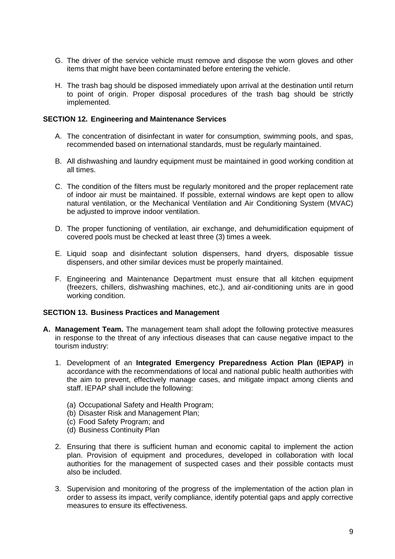- G. The driver of the service vehicle must remove and dispose the worn gloves and other items that might have been contaminated before entering the vehicle.
- H. The trash bag should be disposed immediately upon arrival at the destination until return to point of origin. Proper disposal procedures of the trash bag should be strictly implemented.

### **SECTION 12. Engineering and Maintenance Services**

- A. The concentration of disinfectant in water for consumption, swimming pools, and spas, recommended based on international standards, must be regularly maintained.
- B. All dishwashing and laundry equipment must be maintained in good working condition at all times.
- C. The condition of the filters must be regularly monitored and the proper replacement rate of indoor air must be maintained. If possible, external windows are kept open to allow natural ventilation, or the Mechanical Ventilation and Air Conditioning System (MVAC) be adjusted to improve indoor ventilation.
- D. The proper functioning of ventilation, air exchange, and dehumidification equipment of covered pools must be checked at least three (3) times a week.
- E. Liquid soap and disinfectant solution dispensers, hand dryers, disposable tissue dispensers, and other similar devices must be properly maintained.
- F. Engineering and Maintenance Department must ensure that all kitchen equipment (freezers, chillers, dishwashing machines, etc.), and air-conditioning units are in good working condition.

## **SECTION 13. Business Practices and Management**

- **A. Management Team.** The management team shall adopt the following protective measures in response to the threat of any infectious diseases that can cause negative impact to the tourism industry:
	- 1. Development of an **Integrated Emergency Preparedness Action Plan (IEPAP)** in accordance with the recommendations of local and national public health authorities with the aim to prevent, effectively manage cases, and mitigate impact among clients and staff. IEPAP shall include the following:
		- (a) Occupational Safety and Health Program;
		- (b) Disaster Risk and Management Plan;
		- (c) Food Safety Program; and
		- (d) Business Continuity Plan
	- 2. Ensuring that there is sufficient human and economic capital to implement the action plan. Provision of equipment and procedures, developed in collaboration with local authorities for the management of suspected cases and their possible contacts must also be included.
	- 3. Supervision and monitoring of the progress of the implementation of the action plan in order to assess its impact, verify compliance, identify potential gaps and apply corrective measures to ensure its effectiveness.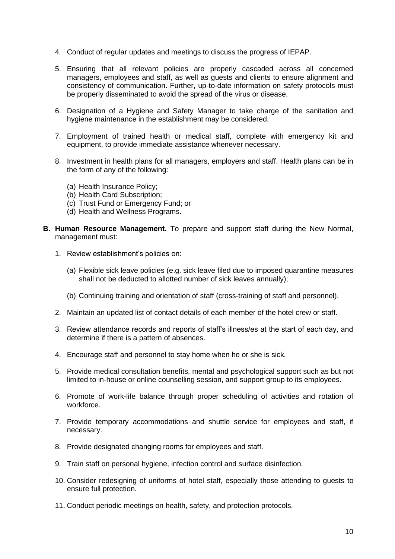- 4. Conduct of regular updates and meetings to discuss the progress of IEPAP.
- 5. Ensuring that all relevant policies are properly cascaded across all concerned managers, employees and staff, as well as guests and clients to ensure alignment and consistency of communication. Further, up-to-date information on safety protocols must be properly disseminated to avoid the spread of the virus or disease.
- 6. Designation of a Hygiene and Safety Manager to take charge of the sanitation and hygiene maintenance in the establishment may be considered.
- 7. Employment of trained health or medical staff, complete with emergency kit and equipment, to provide immediate assistance whenever necessary.
- 8. Investment in health plans for all managers, employers and staff. Health plans can be in the form of any of the following:
	- (a) Health Insurance Policy;
	- (b) Health Card Subscription;
	- (c) Trust Fund or Emergency Fund; or
	- (d) Health and Wellness Programs.
- **B. Human Resource Management.** To prepare and support staff during the New Normal, management must:
	- 1. Review establishment's policies on:
		- (a) Flexible sick leave policies (e.g. sick leave filed due to imposed quarantine measures shall not be deducted to allotted number of sick leaves annually);
		- (b) Continuing training and orientation of staff (cross-training of staff and personnel).
	- 2. Maintain an updated list of contact details of each member of the hotel crew or staff.
	- 3. Review attendance records and reports of staff's illness/es at the start of each day, and determine if there is a pattern of absences.
	- 4. Encourage staff and personnel to stay home when he or she is sick.
	- 5. Provide medical consultation benefits, mental and psychological support such as but not limited to in-house or online counselling session, and support group to its employees.
	- 6. Promote of work-life balance through proper scheduling of activities and rotation of workforce.
	- 7. Provide temporary accommodations and shuttle service for employees and staff, if necessary.
	- 8. Provide designated changing rooms for employees and staff.
	- 9. Train staff on personal hygiene, infection control and surface disinfection.
	- 10. Consider redesigning of uniforms of hotel staff, especially those attending to guests to ensure full protection.
	- 11. Conduct periodic meetings on health, safety, and protection protocols.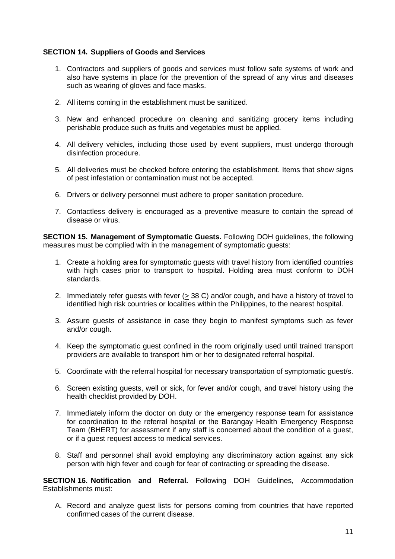# **SECTION 14. Suppliers of Goods and Services**

- 1. Contractors and suppliers of goods and services must follow safe systems of work and also have systems in place for the prevention of the spread of any virus and diseases such as wearing of gloves and face masks.
- 2. All items coming in the establishment must be sanitized.
- 3. New and enhanced procedure on cleaning and sanitizing grocery items including perishable produce such as fruits and vegetables must be applied.
- 4. All delivery vehicles, including those used by event suppliers, must undergo thorough disinfection procedure.
- 5. All deliveries must be checked before entering the establishment. Items that show signs of pest infestation or contamination must not be accepted.
- 6. Drivers or delivery personnel must adhere to proper sanitation procedure.
- 7. Contactless delivery is encouraged as a preventive measure to contain the spread of disease or virus.

**SECTION 15. Management of Symptomatic Guests.** Following DOH guidelines, the following measures must be complied with in the management of symptomatic guests:

- 1. Create a holding area for symptomatic guests with travel history from identified countries with high cases prior to transport to hospital. Holding area must conform to DOH standards.
- 2. Immediately refer guests with fever (> 38 C) and/or cough, and have a history of travel to identified high risk countries or localities within the Philippines, to the nearest hospital.
- 3. Assure guests of assistance in case they begin to manifest symptoms such as fever and/or cough.
- 4. Keep the symptomatic guest confined in the room originally used until trained transport providers are available to transport him or her to designated referral hospital.
- 5. Coordinate with the referral hospital for necessary transportation of symptomatic guest/s.
- 6. Screen existing guests, well or sick, for fever and/or cough, and travel history using the health checklist provided by DOH.
- 7. Immediately inform the doctor on duty or the emergency response team for assistance for coordination to the referral hospital or the Barangay Health Emergency Response Team (BHERT) for assessment if any staff is concerned about the condition of a guest, or if a guest request access to medical services.
- 8. Staff and personnel shall avoid employing any discriminatory action against any sick person with high fever and cough for fear of contracting or spreading the disease.

**SECTION 16. Notification and Referral.** Following DOH Guidelines, Accommodation Establishments must:

A. Record and analyze guest lists for persons coming from countries that have reported confirmed cases of the current disease.